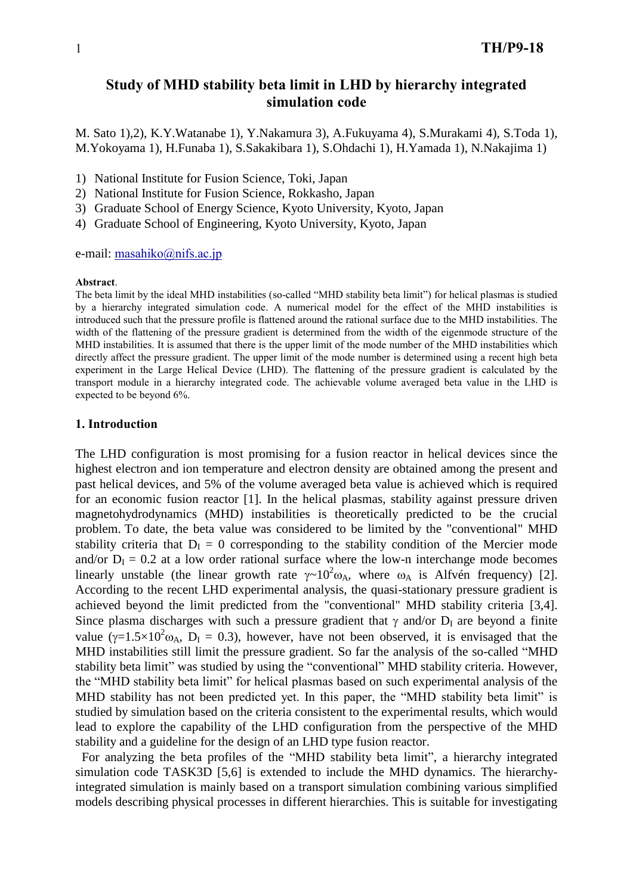# **Study of MHD stability beta limit in LHD by hierarchy integrated simulation code**

M. Sato 1),2), K.Y.Watanabe 1), Y.Nakamura 3), A.Fukuyama 4), S.Murakami 4), S.Toda 1), M.Yokoyama 1), H.Funaba 1), S.Sakakibara 1), S.Ohdachi 1), H.Yamada 1), N.Nakajima 1)

- 1) National Institute for Fusion Science, Toki, Japan
- 2) National Institute for Fusion Science, Rokkasho, Japan
- 3) Graduate School of Energy Science, Kyoto University, Kyoto, Japan
- 4) Graduate School of Engineering, Kyoto University, Kyoto, Japan

e-mail: [masahiko@nifs.ac.jp](mailto:masahiko@nifs.ac.jp)

#### **Abstract**.

The beta limit by the ideal MHD instabilities (so-called "MHD stability beta limit") for helical plasmas is studied by a hierarchy integrated simulation code. A numerical model for the effect of the MHD instabilities is introduced such that the pressure profile is flattened around the rational surface due to the MHD instabilities. The width of the flattening of the pressure gradient is determined from the width of the eigenmode structure of the MHD instabilities. It is assumed that there is the upper limit of the mode number of the MHD instabilities which directly affect the pressure gradient. The upper limit of the mode number is determined using a recent high beta experiment in the Large Helical Device (LHD). The flattening of the pressure gradient is calculated by the transport module in a hierarchy integrated code. The achievable volume averaged beta value in the LHD is expected to be beyond 6%.

## **1. Introduction**

The LHD configuration is most promising for a fusion reactor in helical devices since the highest electron and ion temperature and electron density are obtained among the present and past helical devices, and 5% of the volume averaged beta value is achieved which is required for an economic fusion reactor [1]. In the helical plasmas, stability against pressure driven magnetohydrodynamics (MHD) instabilities is theoretically predicted to be the crucial problem. To date, the beta value was considered to be limited by the "conventional" MHD stability criteria that  $D_I = 0$  corresponding to the stability condition of the Mercier mode and/or  $D<sub>I</sub> = 0.2$  at a low order rational surface where the low-n interchange mode becomes linearly unstable (the linear growth rate  $\gamma \sim 10^2 \omega_A$ , where  $\omega_A$  is Alfvén frequency) [2]. According to the recent LHD experimental analysis, the quasi-stationary pressure gradient is achieved beyond the limit predicted from the "conventional" MHD stability criteria [3,4]. Since plasma discharges with such a pressure gradient that  $\gamma$  and/or  $D_I$  are beyond a finite value ( $\gamma = 1.5 \times 10^2 \omega_A$ , D<sub>I</sub> = 0.3), however, have not been observed, it is envisaged that the MHD instabilities still limit the pressure gradient. So far the analysis of the so-called "MHD stability beta limit" was studied by using the "conventional" MHD stability criteria. However, the "MHD stability beta limit" for helical plasmas based on such experimental analysis of the MHD stability has not been predicted yet. In this paper, the "MHD stability beta limit" is studied by simulation based on the criteria consistent to the experimental results, which would lead to explore the capability of the LHD configuration from the perspective of the MHD stability and a guideline for the design of an LHD type fusion reactor.

For analyzing the beta profiles of the "MHD stability beta limit", a hierarchy integrated simulation code TASK3D [5,6] is extended to include the MHD dynamics. The hierarchyintegrated simulation is mainly based on a transport simulation combining various simplified models describing physical processes in different hierarchies. This is suitable for investigating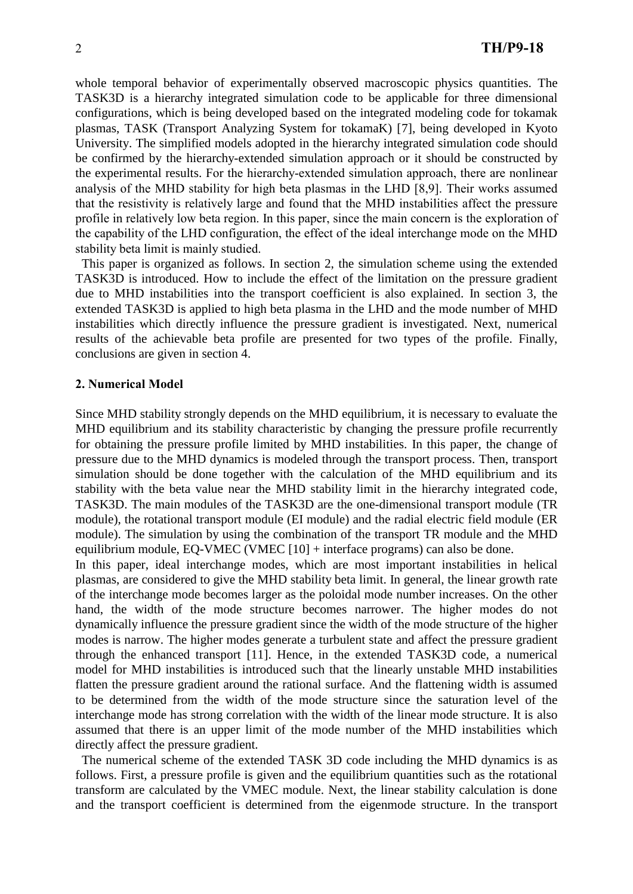whole temporal behavior of experimentally observed macroscopic physics quantities. The TASK3D is a hierarchy integrated simulation code to be applicable for three dimensional configurations, which is being developed based on the integrated modeling code for tokamak plasmas, TASK (Transport Analyzing System for tokamaK) [7], being developed in Kyoto University. The simplified models adopted in the hierarchy integrated simulation code should be confirmed by the hierarchy-extended simulation approach or it should be constructed by the experimental results. For the hierarchy-extended simulation approach, there are nonlinear analysis of the MHD stability for high beta plasmas in the LHD [8,9]. Their works assumed that the resistivity is relatively large and found that the MHD instabilities affect the pressure profile in relatively low beta region. In this paper, since the main concern is the exploration of the capability of the LHD configuration, the effect of the ideal interchange mode on the MHD stability beta limit is mainly studied.

This paper is organized as follows. In section 2, the simulation scheme using the extended TASK3D is introduced. How to include the effect of the limitation on the pressure gradient due to MHD instabilities into the transport coefficient is also explained. In section 3, the extended TASK3D is applied to high beta plasma in the LHD and the mode number of MHD instabilities which directly influence the pressure gradient is investigated. Next, numerical results of the achievable beta profile are presented for two types of the profile. Finally, conclusions are given in section 4.

## **2. Numerical Model**

Since MHD stability strongly depends on the MHD equilibrium, it is necessary to evaluate the MHD equilibrium and its stability characteristic by changing the pressure profile recurrently for obtaining the pressure profile limited by MHD instabilities. In this paper, the change of pressure due to the MHD dynamics is modeled through the transport process. Then, transport simulation should be done together with the calculation of the MHD equilibrium and its stability with the beta value near the MHD stability limit in the hierarchy integrated code, TASK3D. The main modules of the TASK3D are the one-dimensional transport module (TR module), the rotational transport module (EI module) and the radial electric field module (ER module). The simulation by using the combination of the transport TR module and the MHD equilibrium module, EQ-VMEC (VMEC [10] + interface programs) can also be done.

In this paper, ideal interchange modes, which are most important instabilities in helical plasmas, are considered to give the MHD stability beta limit. In general, the linear growth rate of the interchange mode becomes larger as the poloidal mode number increases. On the other hand, the width of the mode structure becomes narrower. The higher modes do not dynamically influence the pressure gradient since the width of the mode structure of the higher modes is narrow. The higher modes generate a turbulent state and affect the pressure gradient through the enhanced transport [11]. Hence, in the extended TASK3D code, a numerical model for MHD instabilities is introduced such that the linearly unstable MHD instabilities flatten the pressure gradient around the rational surface. And the flattening width is assumed to be determined from the width of the mode structure since the saturation level of the interchange mode has strong correlation with the width of the linear mode structure. It is also assumed that there is an upper limit of the mode number of the MHD instabilities which directly affect the pressure gradient.

The numerical scheme of the extended TASK 3D code including the MHD dynamics is as follows. First, a pressure profile is given and the equilibrium quantities such as the rotational transform are calculated by the VMEC module. Next, the linear stability calculation is done and the transport coefficient is determined from the eigenmode structure. In the transport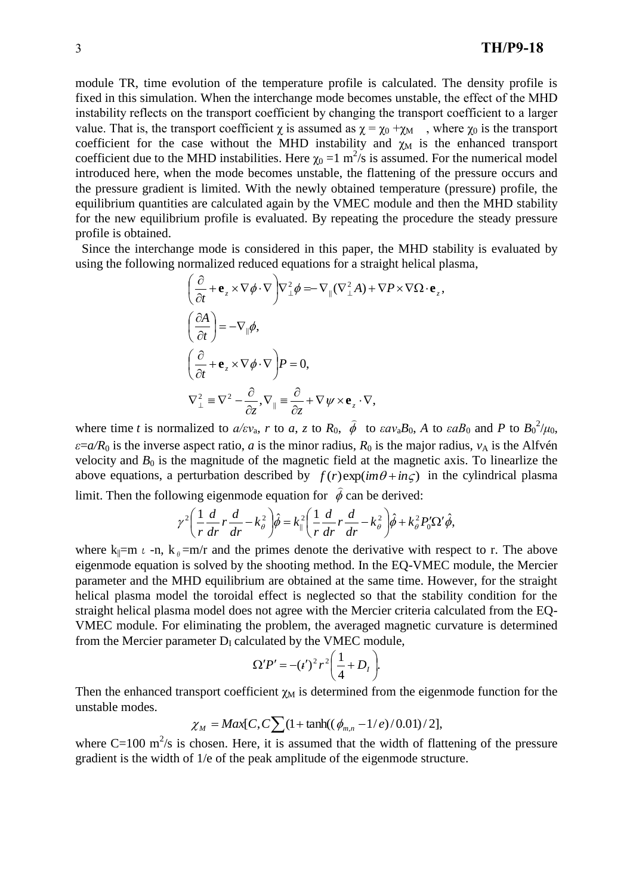module TR, time evolution of the temperature profile is calculated. The density profile is fixed in this simulation. When the interchange mode becomes unstable, the effect of the MHD instability reflects on the transport coefficient by changing the transport coefficient to a larger value. That is, the transport coefficient  $\chi$  is assumed as  $\chi = \chi_0 + \chi_M$ , where  $\chi_0$  is the transport coefficient for the case without the MHD instability and  $\chi_M$  is the enhanced transport coefficient due to the MHD instabilities. Here  $\chi_0 = 1$  m<sup>2</sup>/s is assumed. For the numerical model introduced here, when the mode becomes unstable, the flattening of the pressure occurs and the pressure gradient is limited. With the newly obtained temperature (pressure) profile, the equilibrium quantities are calculated again by the VMEC module and then the MHD stability for the new equilibrium profile is evaluated. By repeating the procedure the steady pressure profile is obtained.

Since the interchange mode is considered in this paper, the MHD stability is evaluated by using the following normalized reduced equations for a straight helical plasma,

$$
\left(\frac{\partial}{\partial t} + \mathbf{e}_z \times \nabla \phi \cdot \nabla\right) \nabla_{\perp}^2 \phi = -\nabla_{\parallel} (\nabla_{\perp}^2 A) + \nabla P \times \nabla \Omega \cdot \mathbf{e}_z,
$$
\n
$$
\left(\frac{\partial A}{\partial t}\right) = -\nabla_{\parallel} \phi,
$$
\n
$$
\left(\frac{\partial}{\partial t} + \mathbf{e}_z \times \nabla \phi \cdot \nabla\right) P = 0,
$$
\n
$$
\nabla_{\perp}^2 \equiv \nabla^2 - \frac{\partial}{\partial z}, \nabla_{\parallel} \equiv \frac{\partial}{\partial z} + \nabla \psi \times \mathbf{e}_z \cdot \nabla,
$$

where time *t* is normalized to  $a/\varepsilon v_a$ , *r* to *a*, *z* to  $R_0$ ,  $\phi$ to  $\epsilon a v_a B_0$ , *A* to  $\epsilon a B_0$  and *P* to  $B_0^2/\mu_0$ ,  $\varepsilon = a/R_0$  is the inverse aspect ratio, *a* is the minor radius,  $R_0$  is the major radius,  $v_A$  is the Alfvén velocity and  $B_0$  is the magnitude of the magnetic field at the magnetic axis. To linearlize the above equations, a perturbation described by  $f(r) \exp(im\theta + in\zeta)$  in the cylindrical plasma  $\frac{1}{2}$ 

limit. Then the following eigenmode equation for  $\phi$ can be derived:

$$
\gamma^2 \left( \frac{1}{r} \frac{d}{dr} r \frac{d}{dr} - k_\theta^2 \right) \hat{\phi} = k_\parallel^2 \left( \frac{1}{r} \frac{d}{dr} r \frac{d}{dr} - k_\theta^2 \right) \hat{\phi} + k_\theta^2 P_0' \Omega' \hat{\phi},
$$

where  $k_{\parallel} = m \ell - n$ ,  $k_{\theta} = m/r$  and the primes denote the derivative with respect to r. The above eigenmode equation is solved by the shooting method. In the EQ-VMEC module, the Mercier parameter and the MHD equilibrium are obtained at the same time. However, for the straight helical plasma model the toroidal effect is neglected so that the stability condition for the straight helical plasma model does not agree with the Mercier criteria calculated from the EQ-VMEC module. For eliminating the problem, the averaged magnetic curvature is determined from the Mercier parameter  $D<sub>I</sub>$  calculated by the VMEC module,

$$
\Omega' P' = - (\iota')^2 r^2 \bigg( \frac{1}{4} + D_I \bigg).
$$

Then the enhanced transport coefficient  $\gamma_M$  is determined from the eigenmode function for the unstable modes.

$$
\chi_M = \text{Max}[C, C \sum (1 + \tanh((\phi_{m,n} - 1/e)/0.01)/2],
$$

where C=100  $\text{m}^2$ /s is chosen. Here, it is assumed that the width of flattening of the pressure gradient is the width of 1/e of the peak amplitude of the eigenmode structure.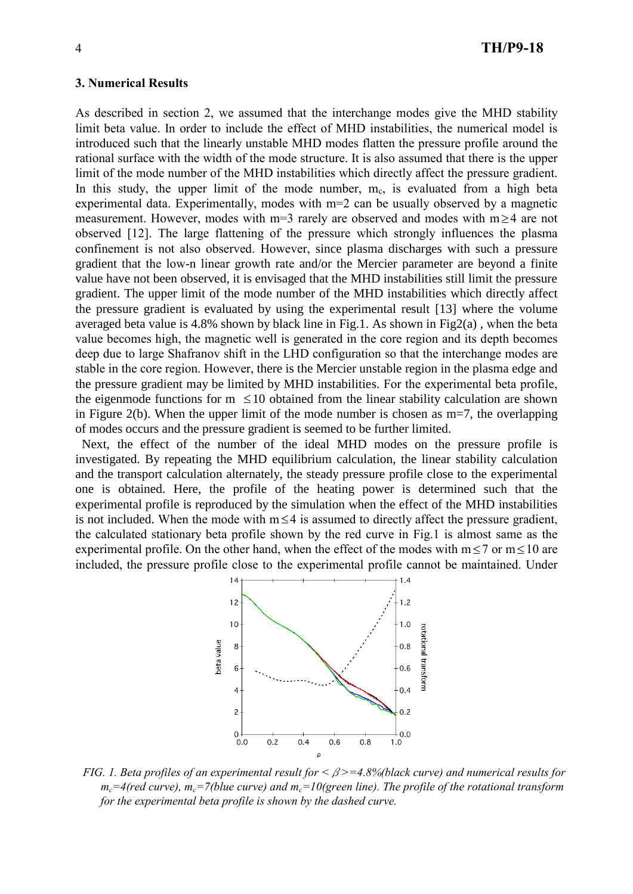#### **3. Numerical Results**

As described in section 2, we assumed that the interchange modes give the MHD stability limit beta value. In order to include the effect of MHD instabilities, the numerical model is introduced such that the linearly unstable MHD modes flatten the pressure profile around the rational surface with the width of the mode structure. It is also assumed that there is the upper limit of the mode number of the MHD instabilities which directly affect the pressure gradient. In this study, the upper limit of the mode number,  $m_c$ , is evaluated from a high beta experimental data. Experimentally, modes with m=2 can be usually observed by a magnetic measurement. However, modes with  $m=3$  rarely are observed and modes with  $m \geq 4$  are not observed [12]. The large flattening of the pressure which strongly influences the plasma confinement is not also observed. However, since plasma discharges with such a pressure gradient that the low-n linear growth rate and/or the Mercier parameter are beyond a finite value have not been observed, it is envisaged that the MHD instabilities still limit the pressure gradient. The upper limit of the mode number of the MHD instabilities which directly affect the pressure gradient is evaluated by using the experimental result [13] where the volume averaged beta value is 4.8% shown by black line in Fig.1. As shown in Fig2(a), when the beta value becomes high, the magnetic well is generated in the core region and its depth becomes deep due to large Shafranov shift in the LHD configuration so that the interchange modes are stable in the core region. However, there is the Mercier unstable region in the plasma edge and the pressure gradient may be limited by MHD instabilities. For the experimental beta profile, the eigenmode functions for  $m \leq 10$  obtained from the linear stability calculation are shown in Figure 2(b). When the upper limit of the mode number is chosen as m=7, the overlapping of modes occurs and the pressure gradient is seemed to be further limited.

Next, the effect of the number of the ideal MHD modes on the pressure profile is investigated. By repeating the MHD equilibrium calculation, the linear stability calculation and the transport calculation alternately, the steady pressure profile close to the experimental one is obtained. Here, the profile of the heating power is determined such that the experimental profile is reproduced by the simulation when the effect of the MHD instabilities is not included. When the mode with  $m \leq 4$  is assumed to directly affect the pressure gradient, the calculated stationary beta profile shown by the red curve in Fig.1 is almost same as the experimental profile. On the other hand, when the effect of the modes with  $m \le 7$  or  $m \le 10$  are included, the pressure profile close to the experimental profile cannot be maintained. Under



*FIG. 1. Beta profiles of an experimental result for <*β*>=4.8%(black curve) and numerical results for*   $m_c = 4$ (red curve),  $m_c = 7$ (blue curve) and  $m_c = 10$ (green line). The profile of the rotational transform *for the experimental beta profile is shown by the dashed curve.*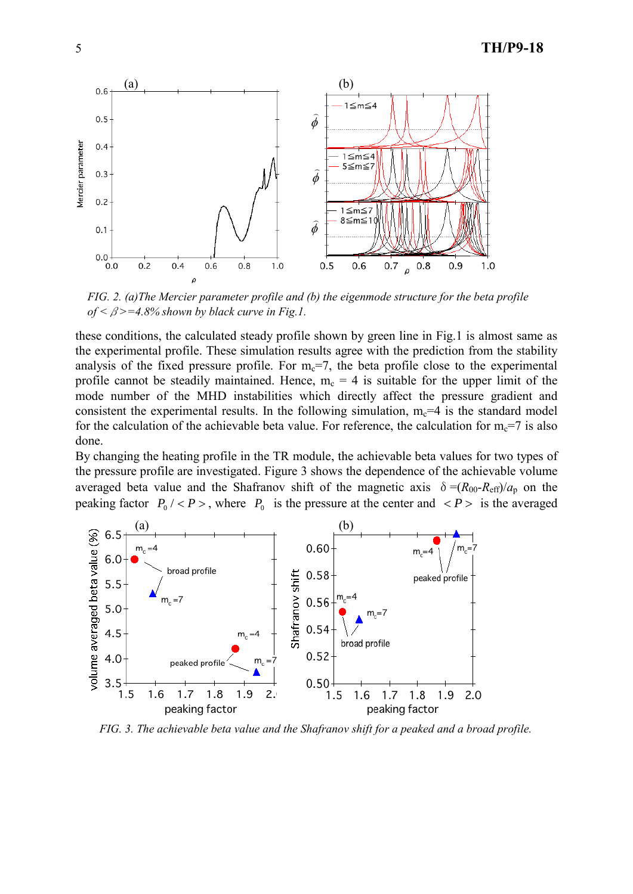

*FIG. 2. (a)The Mercier parameter profile and (b) the eigenmode structure for the beta profile of <*β*>=4.8% shown by black curve in Fig.1.*

these conditions, the calculated steady profile shown by green line in Fig.1 is almost same as the experimental profile. These simulation results agree with the prediction from the stability analysis of the fixed pressure profile. For  $m<sub>c</sub>=7$ , the beta profile close to the experimental profile cannot be steadily maintained. Hence,  $m_c = 4$  is suitable for the upper limit of the mode number of the MHD instabilities which directly affect the pressure gradient and consistent the experimental results. In the following simulation,  $m_c=4$  is the standard model for the calculation of the achievable beta value. For reference, the calculation for  $m_c=7$  is also done.

By changing the heating profile in the TR module, the achievable beta values for two types of the pressure profile are investigated. Figure 3 shows the dependence of the achievable volume averaged beta value and the Shafranov shift of the magnetic axis  $\delta = (R_{00}-R_{\text{eff}})/a_p$  on the peaking factor  $P_0$  / < *P* >, where  $P_0$  is the pressure at the center and < *P* > is the averaged



*FIG. 3. The achievable beta value and the Shafranov shift for a peaked and a broad profile.*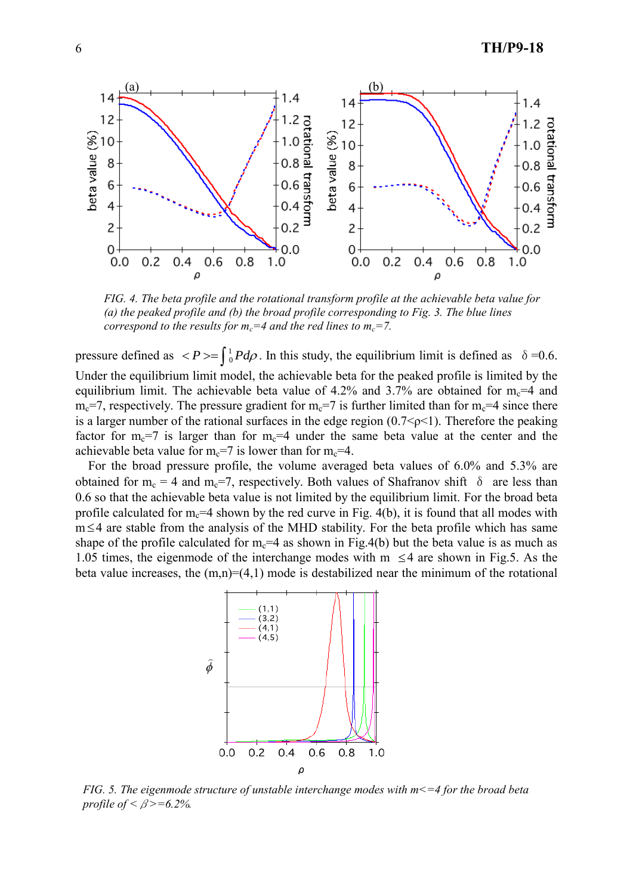

*FIG. 4. The beta profile and the rotational transform profile at the achievable beta value for (a) the peaked profile and (b) the broad profile corresponding to Fig. 3. The blue lines correspond to the results for*  $m_c = 4$  *and the red lines to*  $m_c = 7$ *.* 

pressure defined as  $\langle P \rangle = \int_0^1 P d\rho$  $^{1}_{0}Pd\rho$ . In this study, the equilibrium limit is defined as  $\delta = 0.6$ . Under the equilibrium limit model, the achievable beta for the peaked profile is limited by the equilibrium limit. The achievable beta value of 4.2% and 3.7% are obtained for  $m_c=4$  and  $m_c=7$ , respectively. The pressure gradient for  $m_c=7$  is further limited than for  $m_c=4$  since there is a larger number of the rational surfaces in the edge region  $(0.7<\rho<1)$ . Therefore the peaking factor for  $m_c=7$  is larger than for  $m_c=4$  under the same beta value at the center and the achievable beta value for  $m_c=7$  is lower than for  $m_c=4$ .

For the broad pressure profile, the volume averaged beta values of 6.0% and 5.3% are obtained for m<sub>c</sub> = 4 and m<sub>c</sub>=7, respectively. Both values of Shafranov shift  $\delta$  are less than 0.6 so that the achievable beta value is not limited by the equilibrium limit. For the broad beta profile calculated for  $m_c=4$  shown by the red curve in Fig. 4(b), it is found that all modes with m 4 are stable from the analysis of the MHD stability. For the beta profile which has same shape of the profile calculated for  $m<sub>c</sub>=4$  as shown in Fig.4(b) but the beta value is as much as 1.05 times, the eigenmode of the interchange modes with  $m \leq 4$  are shown in Fig.5. As the beta value increases, the  $(m,n)=(4,1)$  mode is destabilized near the minimum of the rotational



*FIG. 5. The eigenmode structure of unstable interchange modes with m<=4 for the broad beta profile of*  $\leq \beta \ge 6.2\%$ .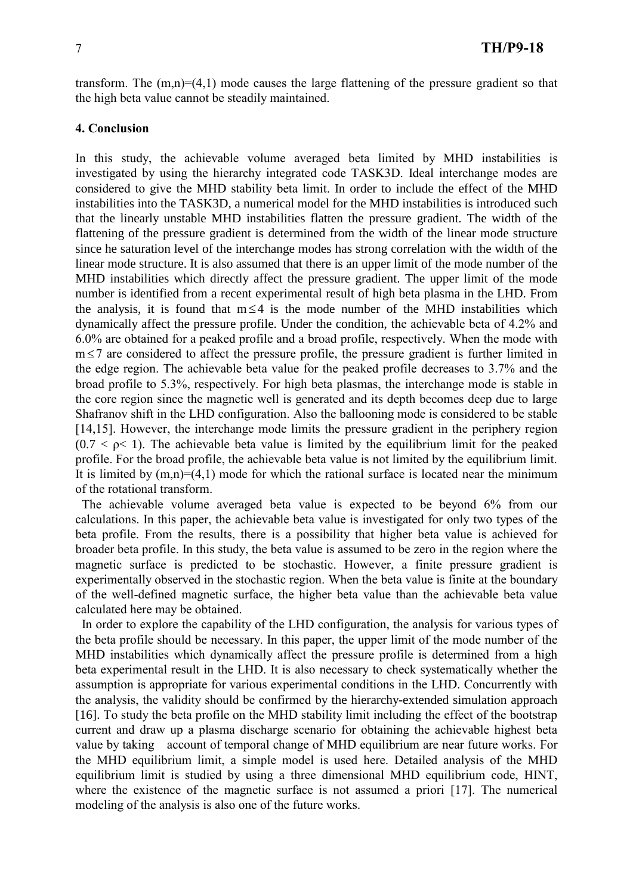transform. The  $(m,n)=(4,1)$  mode causes the large flattening of the pressure gradient so that the high beta value cannot be steadily maintained.

## **4. Conclusion**

In this study, the achievable volume averaged beta limited by MHD instabilities is investigated by using the hierarchy integrated code TASK3D. Ideal interchange modes are considered to give the MHD stability beta limit. In order to include the effect of the MHD instabilities into the TASK3D, a numerical model for the MHD instabilities is introduced such that the linearly unstable MHD instabilities flatten the pressure gradient. The width of the flattening of the pressure gradient is determined from the width of the linear mode structure since he saturation level of the interchange modes has strong correlation with the width of the linear mode structure. It is also assumed that there is an upper limit of the mode number of the MHD instabilities which directly affect the pressure gradient. The upper limit of the mode number is identified from a recent experimental result of high beta plasma in the LHD. From the analysis, it is found that  $m \leq 4$  is the mode number of the MHD instabilities which dynamically affect the pressure profile. Under the condition, the achievable beta of 4.2% and 6.0% are obtained for a peaked profile and a broad profile, respectively. When the mode with m 7 are considered to affect the pressure profile, the pressure gradient is further limited in the edge region. The achievable beta value for the peaked profile decreases to 3.7% and the broad profile to 5.3%, respectively. For high beta plasmas, the interchange mode is stable in the core region since the magnetic well is generated and its depth becomes deep due to large Shafranov shift in the LHD configuration. Also the ballooning mode is considered to be stable [14,15]. However, the interchange mode limits the pressure gradient in the periphery region  $(0.7 < \rho < 1)$ . The achievable beta value is limited by the equilibrium limit for the peaked profile. For the broad profile, the achievable beta value is not limited by the equilibrium limit. It is limited by  $(m,n)=(4,1)$  mode for which the rational surface is located near the minimum of the rotational transform.

The achievable volume averaged beta value is expected to be beyond 6% from our calculations. In this paper, the achievable beta value is investigated for only two types of the beta profile. From the results, there is a possibility that higher beta value is achieved for broader beta profile. In this study, the beta value is assumed to be zero in the region where the magnetic surface is predicted to be stochastic. However, a finite pressure gradient is experimentally observed in the stochastic region. When the beta value is finite at the boundary of the well-defined magnetic surface, the higher beta value than the achievable beta value calculated here may be obtained.

In order to explore the capability of the LHD configuration, the analysis for various types of the beta profile should be necessary. In this paper, the upper limit of the mode number of the MHD instabilities which dynamically affect the pressure profile is determined from a high beta experimental result in the LHD. It is also necessary to check systematically whether the assumption is appropriate for various experimental conditions in the LHD. Concurrently with the analysis, the validity should be confirmed by the hierarchy-extended simulation approach [16]. To study the beta profile on the MHD stability limit including the effect of the bootstrap current and draw up a plasma discharge scenario for obtaining the achievable highest beta value by taking account of temporal change of MHD equilibrium are near future works. For the MHD equilibrium limit, a simple model is used here. Detailed analysis of the MHD equilibrium limit is studied by using a three dimensional MHD equilibrium code, HINT, where the existence of the magnetic surface is not assumed a priori [17]. The numerical modeling of the analysis is also one of the future works.